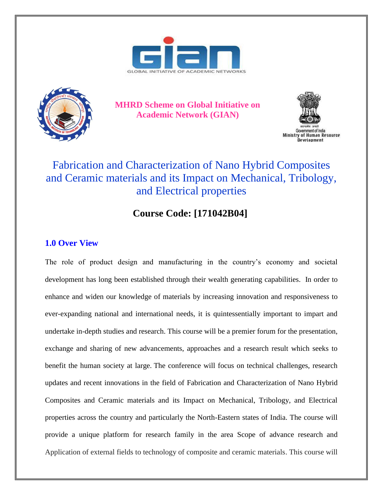



**MHRD Scheme on Global Initiative on Academic Network (GIAN)**



Ministry of Human Resource

## Fabrication and Characterization of Nano Hybrid Composites and Ceramic materials and its Impact on Mechanical, Tribology, and Electrical properties

## **Course Code: [171042B04]**

## **1.0 Over View**

The role of product design and manufacturing in the country's economy and societal development has long been established through their wealth generating capabilities. In order to enhance and widen our knowledge of materials by increasing innovation and responsiveness to ever-expanding national and international needs, it is quintessentially important to impart and undertake in-depth studies and research. This course will be a premier forum for the presentation, exchange and sharing of new advancements, approaches and a research result which seeks to benefit the human society at large. The conference will focus on technical challenges, research updates and recent innovations in the field of Fabrication and Characterization of Nano Hybrid Composites and Ceramic materials and its Impact on Mechanical, Tribology, and Electrical properties across the country and particularly the North-Eastern states of India. The course will provide a unique platform for research family in the area Scope of advance research and Application of external fields to technology of composite and ceramic materials. This course will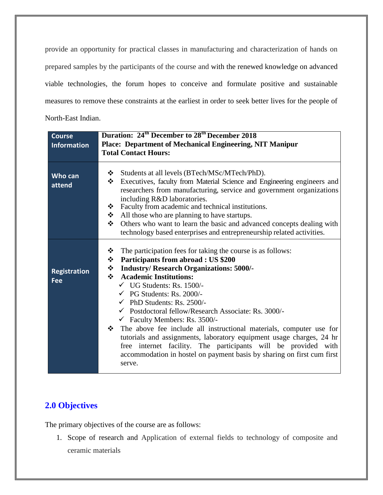provide an opportunity for practical classes in manufacturing and characterization of hands on prepared samples by the participants of the course and with the renewed knowledge on advanced viable technologies, the forum hopes to conceive and formulate positive and sustainable measures to remove these constraints at the earliest in order to seek better lives for the people of North-East Indian.

| <b>Course</b>                     | Duration: 24 <sup>th</sup> December to 28 <sup>th</sup> December 2018                                                                                                                                                                                                                                                                                                                                                                                                                                                                                                                                                                                                                                                                                                      |
|-----------------------------------|----------------------------------------------------------------------------------------------------------------------------------------------------------------------------------------------------------------------------------------------------------------------------------------------------------------------------------------------------------------------------------------------------------------------------------------------------------------------------------------------------------------------------------------------------------------------------------------------------------------------------------------------------------------------------------------------------------------------------------------------------------------------------|
| <b>Information</b>                | Place: Department of Mechanical Engineering, NIT Manipur                                                                                                                                                                                                                                                                                                                                                                                                                                                                                                                                                                                                                                                                                                                   |
|                                   | <b>Total Contact Hours:</b>                                                                                                                                                                                                                                                                                                                                                                                                                                                                                                                                                                                                                                                                                                                                                |
|                                   |                                                                                                                                                                                                                                                                                                                                                                                                                                                                                                                                                                                                                                                                                                                                                                            |
| Who can<br>attend                 | Students at all levels (BTech/MSc/MTech/PhD).<br>❖<br>❖<br>Executives, faculty from Material Science and Engineering engineers and<br>researchers from manufacturing, service and government organizations<br>including R&D laboratories.<br>Faculty from academic and technical institutions.<br>❖<br>❖<br>All those who are planning to have startups.                                                                                                                                                                                                                                                                                                                                                                                                                   |
|                                   | Others who want to learn the basic and advanced concepts dealing with<br>❖                                                                                                                                                                                                                                                                                                                                                                                                                                                                                                                                                                                                                                                                                                 |
|                                   | technology based enterprises and entrepreneurship related activities.                                                                                                                                                                                                                                                                                                                                                                                                                                                                                                                                                                                                                                                                                                      |
| <b>Registration</b><br><b>Fee</b> | ❖<br>The participation fees for taking the course is as follows:<br>❖<br>Participants from abroad : US \$200<br>❖<br><b>Industry/ Research Organizations: 5000/-</b><br>$\frac{1}{2}$<br><b>Academic Institutions:</b><br>$\checkmark$ UG Students: Rs. 1500/-<br>$\checkmark$ PG Students: Rs. 2000/-<br>$\checkmark$ PhD Students: Rs. 2500/-<br>$\checkmark$ Postdoctoral fellow/Research Associate: Rs. 3000/-<br>$\checkmark$ Faculty Members: Rs. 3500/-<br>$\div$ The above fee include all instructional materials, computer use for<br>tutorials and assignments, laboratory equipment usage charges, 24 hr<br>free internet facility. The participants will be provided with<br>accommodation in hostel on payment basis by sharing on first cum first<br>serve. |

### **2.0 Objectives**

The primary objectives of the course are as follows:

1. Scope of research and Application of external fields to technology of composite and ceramic materials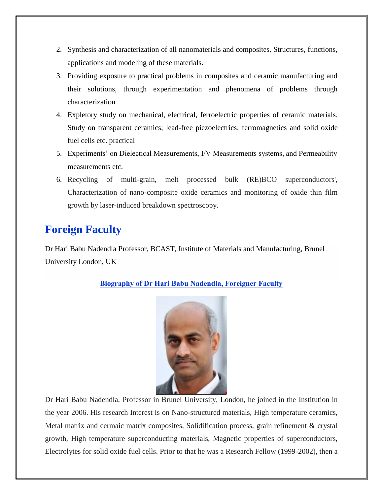- 2. Synthesis and characterization of all nanomaterials and composites. Structures, functions, applications and modeling of these materials.
- 3. Providing exposure to practical problems in composites and ceramic manufacturing and their solutions, through experimentation and phenomena of problems through characterization
- 4. Expletory study on mechanical, electrical, ferroelectric properties of ceramic materials. Study on transparent ceramics; lead-free piezoelectrics; ferromagnetics and solid oxide fuel cells etc. practical
- 5. Experiments' on Dielectical Measurements, I/V Measurements systems, and Permeability measurements etc.
- 6. Recycling of multi-grain, melt processed bulk (RE)BCO superconductors', Characterization of nano-composite oxide ceramics and monitoring of oxide thin film growth by laser-induced breakdown spectroscopy.

# **Foreign Faculty**

Dr Hari Babu Nadendla Professor, BCAST, Institute of Materials and Manufacturing, Brunel University London, UK

### **Biography of Dr Hari Babu Nadendla, Foreigner Faculty**



Dr Hari Babu Nadendla, Professor in Brunel University, London, he joined in the Institution in the year 2006. His research Interest is on Nano-structured materials, High temperature ceramics, Metal matrix and cermaic matrix composites, Solidification process, grain refinement & crystal growth, High temperature superconducting materials, Magnetic properties of superconductors, Electrolytes for solid oxide fuel cells. Prior to that he was a Research Fellow (1999-2002), then a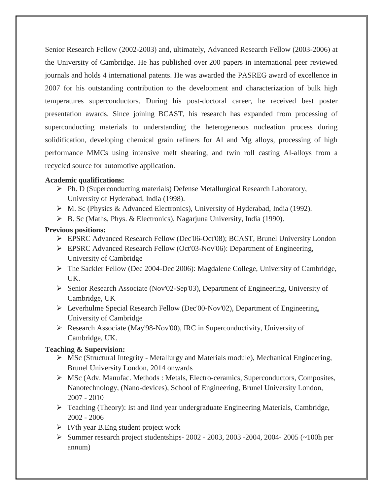Senior Research Fellow (2002-2003) and, ultimately, Advanced Research Fellow (2003-2006) at the University of Cambridge. He has published over 200 papers in international peer reviewed journals and holds 4 international patents. He was awarded the PASREG award of excellence in 2007 for his outstanding contribution to the development and characterization of bulk high temperatures superconductors. During his post-doctoral career, he received best poster presentation awards. Since joining BCAST, his research has expanded from processing of superconducting materials to understanding the heterogeneous nucleation process during solidification, developing chemical grain refiners for Al and Mg alloys, processing of high performance MMCs using intensive melt shearing, and twin roll casting Al-alloys from a recycled source for automotive application.

#### **Academic qualifications:**

- Ph. D (Superconducting materials) Defense Metallurgical Research Laboratory, University of Hyderabad, India (1998).
- M. Sc (Physics & Advanced Electronics), University of Hyderabad, India (1992).
- B. Sc (Maths, Phys. & Electronics), Nagarjuna University, India (1990).

#### **Previous positions:**

- EPSRC Advanced Research Fellow (Dec'06-Oct'08); BCAST, Brunel University London
- EPSRC Advanced Research Fellow (Oct'03-Nov'06): Department of Engineering, University of Cambridge
- $\triangleright$  The Sackler Fellow (Dec 2004-Dec 2006): Magdalene College, University of Cambridge, UK.
- Senior Research Associate (Nov'02-Sep'03), Department of Engineering, University of Cambridge, UK
- $\triangleright$  Leverhulme Special Research Fellow (Dec'00-Nov'02), Department of Engineering, University of Cambridge
- Research Associate (May'98-Nov'00), IRC in Superconductivity, University of Cambridge, UK.

#### **Teaching & Supervision:**

- $\triangleright$  MSc (Structural Integrity Metallurgy and Materials module), Mechanical Engineering, Brunel University London, 2014 onwards
- MSc (Adv. Manufac. Methods : Metals, Electro-ceramics, Superconductors, Composites, Nanotechnology, (Nano-devices), School of Engineering, Brunel University London, 2007 - 2010
- Teaching (Theory): Ist and IInd year undergraduate Engineering Materials, Cambridge, 2002 - 2006
- $\triangleright$  IVth year B. Eng student project work
- Summer research project studentships-  $2002 2003$ ,  $2003 2004$ ,  $2004 2005$  ( $\sim$ 100h per annum)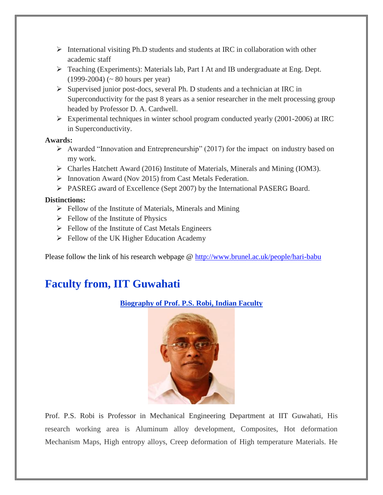- $\triangleright$  International visiting Ph.D students and students at IRC in collaboration with other academic staff
- $\triangleright$  Teaching (Experiments): Materials lab, Part I At and IB undergraduate at Eng. Dept. (1999-2004) (~ 80 hours per year)
- $\triangleright$  Supervised junior post-docs, several Ph. D students and a technician at IRC in Superconductivity for the past 8 years as a senior researcher in the melt processing group headed by Professor D. A. Cardwell.
- $\triangleright$  Experimental techniques in winter school program conducted yearly (2001-2006) at IRC in Superconductivity.

#### **Awards:**

- $\triangleright$  Awarded "Innovation and Entrepreneurship" (2017) for the impact on industry based on my work.
- Charles Hatchett Award (2016) Institute of Materials, Minerals and Mining (IOM3).
- $\triangleright$  Innovation Award (Nov 2015) from Cast Metals Federation.
- PASREG award of Excellence (Sept 2007) by the International PASERG Board.

#### **Distinctions:**

- $\triangleright$  Fellow of the Institute of Materials, Minerals and Mining
- $\triangleright$  Fellow of the Institute of Physics
- $\triangleright$  Fellow of the Institute of Cast Metals Engineers
- $\triangleright$  Fellow of the UK Higher Education Academy

Please follow the link of his research webpage @<http://www.brunel.ac.uk/people/hari-babu>

## **Faculty from, IIT Guwahati**

#### **Biography of Prof. P.S. Robi, Indian Faculty**



Prof. P.S. Robi is Professor in Mechanical Engineering Department at IIT Guwahati, His research working area is Aluminum alloy development, Composites, Hot deformation Mechanism Maps, High entropy alloys, Creep deformation of High temperature Materials. He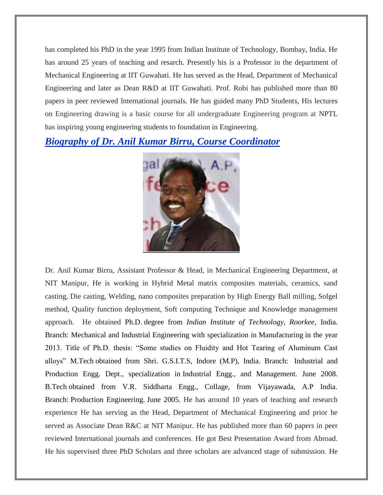has completed his PhD in the year 1995 from Indian Institute of Technology, Bombay, India. He has around 25 years of teaching and resarch. Presently his is a Professor in the department of Mechanical Engineering at IIT Guwahati. He has served as the Head, Department of Mechanical Engineering and later as Dean R&D at IIT Guwahati. Prof. Robi has published more than 80 papers in peer reviewed International journals. He has guided many PhD Students, His lectures on Engineering drawing is a basic course for all undergraduate Engineering program at NPTL has inspiring young engineering students to foundation in Engineering.

*Biography of Dr. Anil Kumar Birru, Course Coordinator*



Dr. Anil Kumar Birru, Assistant Professor & Head, in Mechanical Engineering Department, at NIT Manipur, He is working in Hybrid Metal matrix composites materials, ceramics, sand casting, Die casting, Welding, nano composites preparation by High Energy Ball milling, Solgel method, Quality function deployment, Soft computing Technique and Knowledge management approach. He obtained Ph.D. degree from *Indian Institute of Technology, Roorkee,* India. Branch: Mechanical and Industrial Engineering with specialization in Manufacturing in the year 2013. Title of Ph.D. thesis: "Some studies on Fluidity and Hot Tearing of Aluminum Cast alloys" M.Tech obtained from Shri. G.S.I.T.S, Indore (M.P), India. Branch: Industrial and Production Engg. Dept., specialization in Industrial Engg., and Management. June 2008. B.Tech obtained from V.R. Siddharta Engg., Collage, from Vijayawada, A.P India. Branch: Production Engineering. June 2005. He has around 10 years of teaching and research experience He has serving as the Head, Department of Mechanical Engineering and prior he served as Associate Dean R&C at NIT Manipur. He has published more than 60 papers in peer reviewed International journals and conferences. He got Best Presentation Award from Abroad. He his supervised three PhD Scholars and three scholars are advanced stage of submission. He